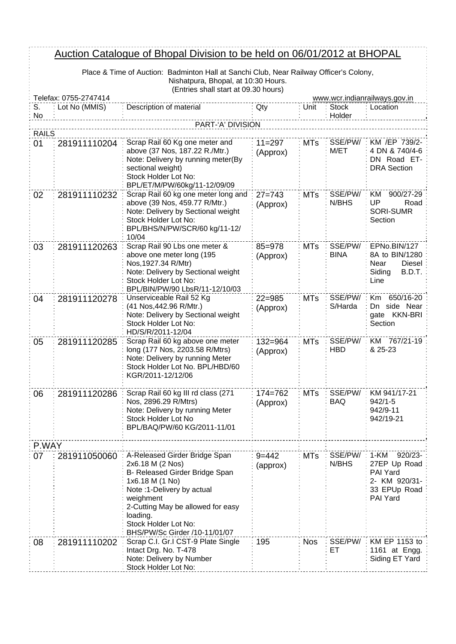## Auction Catalogue of Bhopal Division to be held on 06/01/2012 at BHOPAL

| <u>Auction Catalogue of Bhopal Division to be held on 06/01/2012 at BHOPAL</u> |                                                                                        |                                                                                                                                                                                                                                                             |                         |            |                        |                                                                                             |
|--------------------------------------------------------------------------------|----------------------------------------------------------------------------------------|-------------------------------------------------------------------------------------------------------------------------------------------------------------------------------------------------------------------------------------------------------------|-------------------------|------------|------------------------|---------------------------------------------------------------------------------------------|
|                                                                                | Place & Time of Auction: Badminton Hall at Sanchi Club, Near Railway Officer's Colony, |                                                                                                                                                                                                                                                             |                         |            |                        |                                                                                             |
|                                                                                | Nishatpura, Bhopal, at 10:30 Hours.<br>(Entries shall start at 09.30 hours)            |                                                                                                                                                                                                                                                             |                         |            |                        |                                                                                             |
|                                                                                | Telefax: 0755-2747414                                                                  |                                                                                                                                                                                                                                                             |                         |            |                        | www.wcr.indianrailways.gov.in                                                               |
| S.<br>No                                                                       | Lot No (MMIS)                                                                          | Description of material                                                                                                                                                                                                                                     | Qty                     | Unit       | <b>Stock</b><br>Holder | Location                                                                                    |
|                                                                                |                                                                                        | PART-'A' DIVISION                                                                                                                                                                                                                                           |                         |            |                        |                                                                                             |
| <b>RAILS</b>                                                                   |                                                                                        | Scrap Rail 60 Kg one meter and                                                                                                                                                                                                                              | $11 = 297$              |            | SSE/PW/                | KM /EP 739/2-                                                                               |
| 01                                                                             | 281911110204                                                                           | above (37 Nos, 187.22 R./Mtr.)<br>Note: Delivery by running meter(By<br>sectional weight)<br>Stock Holder Lot No:<br>BPL/ET/M/PW/60kg/11-12/09/09                                                                                                           | (Approx)                | <b>MTs</b> | M/ET                   | 4 DN & 740/4-6<br>DN Road ET-<br><b>DRA</b> Section                                         |
| 02                                                                             | 281911110232                                                                           | Scrap Rail 60 kg one meter long and<br>above (39 Nos, 459.77 R/Mtr.)<br>Note: Delivery by Sectional weight<br>Stock Holder Lot No:<br>BPL/BHS/N/PW/SCR/60 kg/11-12/<br>10/04                                                                                | $27 = 743$<br>(Approx)  | <b>MTs</b> | SSE/PW/<br>N/BHS       | 900/27-29<br>KM.<br>UP<br>Road<br><b>SORI-SUMR</b><br>Section                               |
| 03                                                                             | 281911120263                                                                           | Scrap Rail 90 Lbs one meter &<br>above one meter long (195<br>Nos, 1927.34 R/Mtr)<br>Note: Delivery by Sectional weight<br>Stock Holder Lot No:<br>BPL/BIN/PW/90 LbsR/11-12/10/03                                                                           | $85 = 978$<br>(Approx)  | <b>MTs</b> | SSE/PW/<br><b>BINA</b> | EPNo.BIN/127<br>8A to BIN/1280<br>Diesel:<br>Near<br>Siding<br>B.D.T.<br>Line               |
| 04                                                                             | 281911120278                                                                           | Unserviceable Rail 52 Kg<br>(41 Nos, 442.96 R/Mtr.)<br>Note: Delivery by Sectional weight<br>Stock Holder Lot No:<br>HD/S/R/2011-12/04                                                                                                                      | $22 = 985$<br>(Approx)  | <b>MTs</b> | SSE/PW/<br>S/Harda     | 650/16-20<br><b>Km</b><br>side Near<br>Dn<br>gate KKN-BRI<br>Section                        |
| 05                                                                             | 281911120285                                                                           | Scrap Rail 60 kg above one meter<br>long (177 Nos, 2203.58 R/Mtrs)<br>Note: Delivery by running Meter<br>Stock Holder Lot No. BPL/HBD/60<br>KGR/2011-12/12/06                                                                                               | $132 = 964$<br>(Approx) | <b>MTs</b> | SSE/PW/<br><b>HBD</b>  | KM 767/21-19<br>& 25-23                                                                     |
| 06                                                                             | 281911120286                                                                           | Scrap Rail 60 kg III rd class (271<br>Nos, 2896.29 R/Mtrs)<br>Note: Delivery by running Meter<br>Stock Holder Lot No<br>BPL/BAQ/PW/60 KG/2011-11/01                                                                                                         | $174 = 762$<br>(Approx) | <b>MTs</b> | SSE/PW/<br><b>BAQ</b>  | KM 941/17-21<br>$942/1 - 5$<br>942/9-11<br>942/19-21                                        |
| P.WAY                                                                          |                                                                                        |                                                                                                                                                                                                                                                             |                         |            |                        |                                                                                             |
| 07                                                                             | 281911050060                                                                           | A-Released Girder Bridge Span<br>2x6.18 M (2 Nos)<br>B- Released Girder Bridge Span<br>1x6.18 M (1 No)<br>Note: 1-Delivery by actual<br>weighment<br>2-Cutting May be allowed for easy<br>loading.<br>Stock Holder Lot No:<br>BHS/PW/Sc Girder /10-11/01/07 | $9 = 442$<br>(approx)   | <b>MTs</b> | SSE/PW/<br>N/BHS       | 1-KM<br>$920/23 -$<br>27EP Up Road<br>PAI Yard<br>2- KM 920/31-<br>33 EPUp Road<br>PAI Yard |
| 08                                                                             | 281911110202                                                                           | Scrap C.I. Gr.I CST-9 Plate Single<br>Intact Drg. No. T-478<br>Note: Delivery by Number<br>Stock Holder Lot No:                                                                                                                                             | 195                     | <b>Nos</b> | SSE/PW/<br>EТ          | KM EP 1153 to<br>1161 at Engg.<br>Siding ET Yard                                            |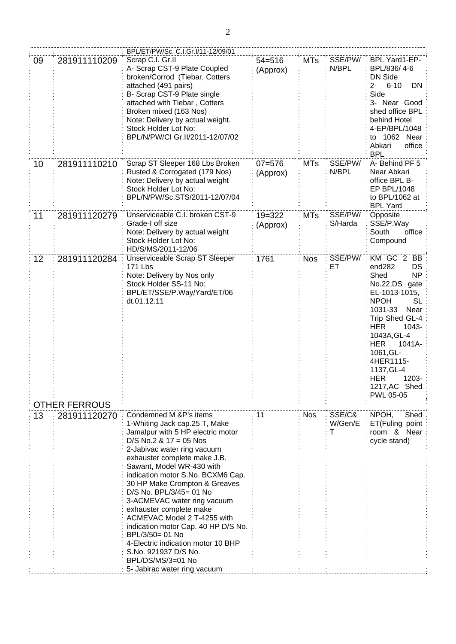|    |                      | BPL/ET/PW/Sc. C.I.Gr.I/11-12/09/01                                                                                                                                                                                                                                                                                                                                                                                                                                                                                                                                                          |                        |            |                        |                                                                                                                                                                                                                                                                                                           |
|----|----------------------|---------------------------------------------------------------------------------------------------------------------------------------------------------------------------------------------------------------------------------------------------------------------------------------------------------------------------------------------------------------------------------------------------------------------------------------------------------------------------------------------------------------------------------------------------------------------------------------------|------------------------|------------|------------------------|-----------------------------------------------------------------------------------------------------------------------------------------------------------------------------------------------------------------------------------------------------------------------------------------------------------|
| 09 | 281911110209         | Scrap C.I. Gr.II<br>A- Scrap CST-9 Plate Coupled<br>broken/Corrod (Tiebar, Cotters<br>attached (491 pairs)<br>B- Scrap CST-9 Plate single<br>attached with Tiebar, Cotters<br>Broken mixed (163 Nos)<br>Note: Delivery by actual weight.<br>Stock Holder Lot No:<br>BPL/N/PW/CI Gr.II/2011-12/07/02                                                                                                                                                                                                                                                                                         | $54 = 516$<br>(Approx) | <b>MTs</b> | SSE/PW/<br>N/BPL       | BPL Yard1-EP-<br>BPL/836/4-6<br>DN Side<br>$6 - 10$<br>DN<br>2-<br>Side<br>3- Near Good<br>shed office BPL<br>behind Hotel<br>4-EP/BPL/1048<br>to 1062 Near<br>office<br>Abkari<br><b>BPL</b>                                                                                                             |
| 10 | 281911110210         | Scrap ST Sleeper 168 Lbs Broken<br>Rusted & Corrogated (179 Nos)<br>Note: Delivery by actual weight<br>Stock Holder Lot No:<br>BPL/N/PW/Sc.STS/2011-12/07/04                                                                                                                                                                                                                                                                                                                                                                                                                                | $07 = 576$<br>(Approx) | <b>MTs</b> | SSE/PW/<br>N/BPL       | A-Behind PF 5<br>Near Abkari<br>office BPL B-<br>EP BPL/1048<br>to BPL/1062 at<br><b>BPL Yard</b>                                                                                                                                                                                                         |
| 11 | 281911120279         | Unserviceable C.I. broken CST-9<br>Grade-I off size<br>Note: Delivery by actual weight<br>Stock Holder Lot No:<br>HD/S/MS/2011-12/06                                                                                                                                                                                                                                                                                                                                                                                                                                                        | $19 = 322$<br>(Approx) | <b>MTs</b> | SSE/PW/<br>S/Harda     | Opposite<br>SSE/P.Way<br>South<br>office<br>Compound                                                                                                                                                                                                                                                      |
| 12 | 281911120284         | Unserviceable Scrap ST Sleeper<br><b>171 Lbs</b><br>Note: Delivery by Nos only<br>Stock Holder SS-11 No:<br>BPL/ET/SSE/P.Way/Yard/ET/06<br>dt.01.12.11                                                                                                                                                                                                                                                                                                                                                                                                                                      | 1761                   | <b>Nos</b> | SSE/PW/<br>ET          | KM GC 2 BB<br>end282<br><b>DS</b><br>NP<br>Shed<br>No.22,DS<br>gate<br>EL-1013-1015,<br><b>NPOH</b><br>SL<br>1031-33<br>Near<br>Trip Shed GL-4<br><b>HER</b><br>1043-<br>1043A, GL-4<br><b>HER</b><br>1041A-<br>1061, GL-<br>4HER1115-<br>1137, GL-4<br><b>HER</b><br>1203-<br>1217, AC Shed<br>PWL 05-05 |
|    | <b>OTHER FERROUS</b> |                                                                                                                                                                                                                                                                                                                                                                                                                                                                                                                                                                                             |                        |            |                        |                                                                                                                                                                                                                                                                                                           |
| 13 | 281911120270         | Condemned M &P's items<br>1-Whiting Jack cap.25 T, Make<br>Jamalpur with 5 HP electric motor<br>$D/S$ No.2 & 17 = 05 Nos<br>2-Jabivac water ring vacuum<br>exhauster complete make J.B.<br>Sawant, Model WR-430 with<br>indication motor S.No. BCXM6 Cap.<br>30 HP Make Crompton & Greaves<br>D/S No. BPL/3/45= 01 No<br>3-ACMEVAC water ring vacuum<br>exhauster complete make<br>ACMEVAC Model 2 T-4255 with<br>indication motor Cap. 40 HP D/S No.<br>BPL/3/50= 01 No<br>4-Electric indication motor 10 BHP<br>S.No. 921937 D/S No.<br>BPL/DS/MS/3=01 No<br>5- Jabirac water ring vacuum | 11                     | <b>Nos</b> | SSE/C&<br>W/Gen/E<br>т | NPOH,<br>Shed<br>ET(Fuling point<br>room & Near<br>cycle stand)                                                                                                                                                                                                                                           |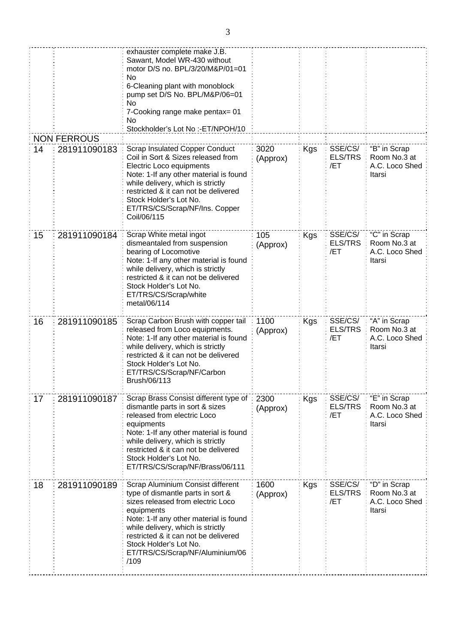|    |                    | exhauster complete make J.B.<br>Sawant, Model WR-430 without<br>motor D/S no. BPL/3/20/M&P/01=01<br>No<br>6-Cleaning plant with monoblock<br>pump set D/S No. BPL/M&P/06=01<br>No<br>7-Cooking range make pentax= 01<br>No<br>Stockholder's Lot No :- ET/NPOH/10                                                                      |                  |            |                                  |                                                          |
|----|--------------------|---------------------------------------------------------------------------------------------------------------------------------------------------------------------------------------------------------------------------------------------------------------------------------------------------------------------------------------|------------------|------------|----------------------------------|----------------------------------------------------------|
|    | <b>NON FERROUS</b> |                                                                                                                                                                                                                                                                                                                                       | 3020             |            |                                  |                                                          |
| 14 |                    | <b>Scrap Insulated Copper Conduct</b><br>281911090183<br>Coil in Sort & Sizes released from<br>(Approx)<br>Electric Loco equipments<br>Note: 1-If any other material is found<br>while delivery, which is strictly<br>restricted & it can not be delivered<br>Stock Holder's Lot No.<br>ET/TRS/CS/Scrap/NF/Ins. Copper<br>Coil/06/115 |                  | Kgs        | SSE/CS/<br><b>ELS/TRS</b><br>/ET | "B" in Scrap<br>Room No.3 at<br>A.C. Loco Shed<br>Itarsi |
| 15 | 281911090184       | Scrap White metal ingot<br>dismeantaled from suspension<br>bearing of Locomotive<br>Note: 1-If any other material is found<br>while delivery, which is strictly<br>restricted & it can not be delivered<br>Stock Holder's Lot No.<br>ET/TRS/CS/Scrap/white<br>metal/06/114                                                            | 105<br>(Approx)  | Kgs        | SSE/CS/<br><b>ELS/TRS</b><br>/ET | "C" in Scrap<br>Room No.3 at<br>A.C. Loco Shed<br>Itarsi |
| 16 | 281911090185       | Scrap Carbon Brush with copper tail<br>released from Loco equipments.<br>Note: 1-If any other material is found<br>while delivery, which is strictly<br>restricted & it can not be delivered<br>Stock Holder's Lot No.<br>ET/TRS/CS/Scrap/NF/Carbon<br>Brush/06/113                                                                   | 1100<br>(Approx) | Kgs        | SSE/CS/<br><b>ELS/TRS</b><br>/ET | "A" in Scrap<br>Room No.3 at<br>A.C. Loco Shed<br>Itarsi |
| 17 | 281911090187       | Scrap Brass Consist different type of<br>dismantle parts in sort & sizes<br>released from electric Loco<br>equipments<br>Note: 1-If any other material is found<br>while delivery, which is strictly<br>restricted & it can not be delivered<br>Stock Holder's Lot No.<br>ET/TRS/CS/Scrap/NF/Brass/06/111                             | 2300<br>(Approx) | <b>Kgs</b> | SSE/CS/<br><b>ELS/TRS</b><br>/ET | "E" in Scrap<br>Room No.3 at<br>A.C. Loco Shed<br>Itarsi |
| 18 | 281911090189       | Scrap Aluminium Consist different<br>type of dismantle parts in sort &<br>sizes released from electric Loco<br>equipments<br>Note: 1-If any other material is found<br>while delivery, which is strictly<br>restricted & it can not be delivered<br>Stock Holder's Lot No.<br>ET/TRS/CS/Scrap/NF/Aluminium/06<br>/109                 | 1600<br>(Approx) | Kgs        | SSE/CS/<br><b>ELS/TRS</b><br>/ET | "D" in Scrap<br>Room No.3 at<br>A.C. Loco Shed<br>Itarsi |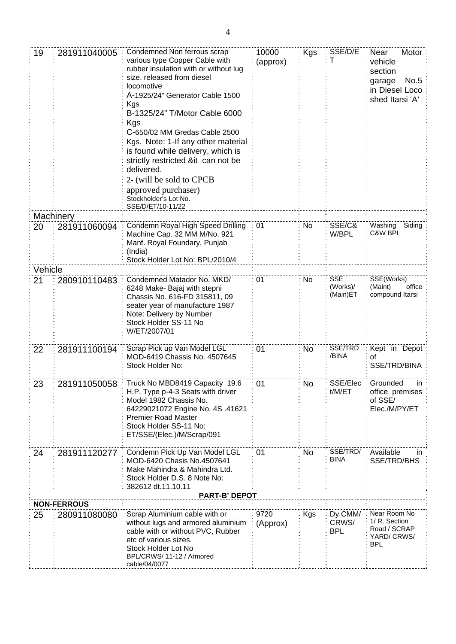| 19      | 281911040005                       | Condemned Non ferrous scrap<br>various type Copper Cable with<br>rubber insulation with or without lug<br>size. released from diesel<br>locomotive<br>A-1925/24" Generator Cable 1500<br>Kgs<br>B-1325/24" T/Motor Cable 6000<br>Kgs<br>C-650/02 MM Gredas Cable 2500<br>Kgs. Note: 1-If any other material<br>is found while delivery, which is<br>strictly restricted ⁢ can not be<br>delivered.<br>2- (will be sold to CPCB<br>approved purchaser)<br>Stockholder's Lot No.<br>SSE/D/ET/10-11/22 | 10000<br>(approx) | <b>Kgs</b> | SSE/D/E                            | Near<br>Motor<br>vehicle<br>section<br>No.5<br>garage<br>in Diesel Loco<br>shed Itarsi 'A' |
|---------|------------------------------------|-----------------------------------------------------------------------------------------------------------------------------------------------------------------------------------------------------------------------------------------------------------------------------------------------------------------------------------------------------------------------------------------------------------------------------------------------------------------------------------------------------|-------------------|------------|------------------------------------|--------------------------------------------------------------------------------------------|
|         | Machinery                          |                                                                                                                                                                                                                                                                                                                                                                                                                                                                                                     |                   |            |                                    |                                                                                            |
| 20      | 281911060094                       | Condemn Royal High Speed Drilling<br>Machine Cap. 32 MM M/No. 921<br>Manf. Royal Foundary, Punjab<br>(India)<br>Stock Holder Lot No: BPL/2010/4                                                                                                                                                                                                                                                                                                                                                     | 01                | No         | SSE/C&<br>W/BPL                    | Washing<br>Siding<br>C&W BPL                                                               |
| Vehicle |                                    |                                                                                                                                                                                                                                                                                                                                                                                                                                                                                                     |                   |            |                                    |                                                                                            |
| 21      | 280910110483                       | Condemned Matador No. MKD/<br>6248 Make- Bajaj with stepni<br>Chassis No. 616-FD 315811, 09<br>seater year of manufacture 1987<br>Note: Delivery by Number<br>Stock Holder SS-11 No<br>W/ET/2007/01                                                                                                                                                                                                                                                                                                 | 01                | No         | <b>SSE</b><br>(Works)/<br>(Main)ET | SSE(Works)<br>(Maint)<br>office<br>compound Itarsi                                         |
| 22      | 281911100194                       | Scrap Pick up Van Model LGL<br>MOD-6419 Chassis No. 4507645<br>Stock Holder No:                                                                                                                                                                                                                                                                                                                                                                                                                     | 01                | <b>No</b>  | SSE/TRD<br>/BINA                   | Kept in Depot<br>0f<br>SSE/TRD/BINA                                                        |
| 23      | 281911050058                       | Truck No MBD8419 Capacity 19.6<br>H.P. Type p-4-3 Seats with driver<br>Model 1982 Chassis No.<br>64229021072 Engine No. 4S .41621<br><b>Premier Road Master</b><br>Stock Holder SS-11 No:<br>ET/SSE/(Elec.)/M/Scrap/091                                                                                                                                                                                                                                                                             | 01                | No         | SSE/Elec<br>t/M/ET                 | Grounded<br>ın<br>office premises<br>of SSE/<br>Elec./M/PY/ET                              |
| 24      | 281911120277                       | Condemn Pick Up Van Model LGL<br>MOD-6420 Chasis No.4507641<br>Make Mahindra & Mahindra Ltd.<br>Stock Holder D.S. 8 Note No:<br>382612 dt.11.10.11                                                                                                                                                                                                                                                                                                                                                  | 01                | No.        | SSE/TRD/<br><b>BINA</b>            | Available<br>in<br>SSE/TRD/BHS                                                             |
|         |                                    | <b>PART-B' DEPOT</b>                                                                                                                                                                                                                                                                                                                                                                                                                                                                                |                   |            |                                    |                                                                                            |
| 25      | <b>NON-FERROUS</b><br>280911080080 | Scrap Aluminium cable with or                                                                                                                                                                                                                                                                                                                                                                                                                                                                       | 9720              | <b>Kgs</b> | Dy.CMM/                            | Near Room No                                                                               |
|         |                                    | without lugs and armored aluminium<br>cable with or without PVC, Rubber<br>etc of various sizes.<br>Stock Holder Lot No<br>BPL/CRWS/11-12 / Armored<br>cable/04/0077                                                                                                                                                                                                                                                                                                                                | (Approx)          |            | CRWS/<br><b>BPL</b>                | 1/ R. Section<br>Road / SCRAP<br>YARD/ CRWS/<br><b>BPL</b>                                 |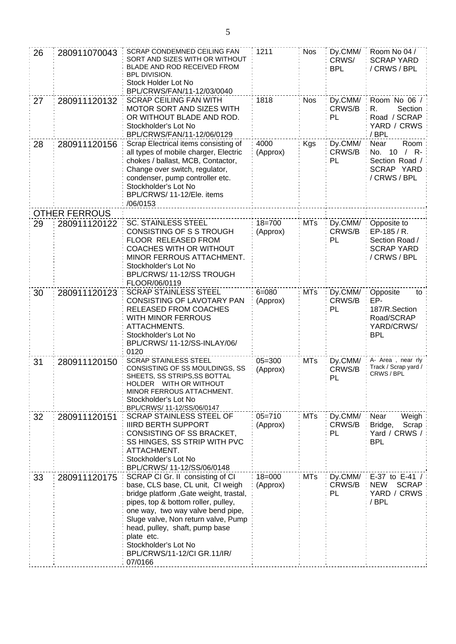| 26 | 280911070043                                                                                                                                                                                                    | SCRAP CONDEMNED CEILING FAN<br>SORT AND SIZES WITH OR WITHOUT<br>BLADE AND ROD RECEIVED FROM<br><b>BPL DIVISION.</b><br>Stock Holder Lot No<br>BPL/CRWS/FAN/11-12/03/0040                                                                                                                                                                            | 1211                   | <b>Nos</b> | Dy.CMM/<br>CRWS/<br><b>BPL</b> | Room No 04 /<br><b>SCRAP YARD</b><br>/ CRWS / BPL                                 |
|----|-----------------------------------------------------------------------------------------------------------------------------------------------------------------------------------------------------------------|------------------------------------------------------------------------------------------------------------------------------------------------------------------------------------------------------------------------------------------------------------------------------------------------------------------------------------------------------|------------------------|------------|--------------------------------|-----------------------------------------------------------------------------------|
| 27 | 280911120132                                                                                                                                                                                                    | <b>SCRAP CEILING FAN WITH</b><br>MOTOR SORT AND SIZES WITH<br>OR WITHOUT BLADE AND ROD.<br>Stockholder's Lot No<br>BPL/CRWS/FAN/11-12/06/0129                                                                                                                                                                                                        | 1818                   | <b>Nos</b> | Dy.CMM/<br>CRWS/B<br>PL        | Room No 06 /<br>Section<br>R.<br>Road / SCRAP<br>YARD / CRWS<br>/BPL              |
| 28 | 280911120156                                                                                                                                                                                                    | Scrap Electrical items consisting of<br>all types of mobile charger, Electric<br>chokes / ballast, MCB, Contactor,<br>Change over switch, regulator,<br>condenser, pump controller etc.<br>Stockholder's Lot No<br>BPL/CRWS/ 11-12/Ele. items<br>/06/0153                                                                                            | 4000<br>(Approx)       | Kgs        | Dy.CMM/<br>CRWS/B<br>PL        | Near<br>Room<br>No. 10<br>$/$ R-<br>Section Road /<br>SCRAP YARD<br>/ CRWS / BPL  |
|    | <b>OTHER FERROUS</b>                                                                                                                                                                                            |                                                                                                                                                                                                                                                                                                                                                      |                        |            |                                |                                                                                   |
| 29 | 280911120122                                                                                                                                                                                                    | <b>SC. STAINLESS STEEL</b><br>CONSISTING OF S S TROUGH<br>FLOOR RELEASED FROM<br><b>COACHES WITH OR WITHOUT</b><br>MINOR FERROUS ATTACHMENT.<br>Stockholder's Lot No<br>BPL/CRWS/11-12/SS TROUGH<br>FLOOR/06/0119                                                                                                                                    | $18 = 700$<br>(Approx) | <b>MTs</b> | Dy.CMM/<br>CRWS/B<br>PL        | Opposite to<br>EP-185 / R.<br>Section Road /<br><b>SCRAP YARD</b><br>/ CRWS / BPL |
| 30 | 280911120123                                                                                                                                                                                                    | <b>SCRAP STAINLESS STEEL</b><br>CONSISTING OF LAVOTARY PAN<br>RELEASED FROM COACHES<br>WITH MINOR FERROUS<br>ATTACHMENTS.<br>Stockholder's Lot No<br>BPL/CRWS/ 11-12/SS-INLAY/06/<br>0120                                                                                                                                                            | $6 = 080$<br>(Approx)  | <b>MTs</b> | Dy.CMM/<br>CRWS/B<br>PL        | Opposite<br>to<br>EP-<br>187/R.Section<br>Road/SCRAP<br>YARD/CRWS/<br><b>BPL</b>  |
| 31 | 280911120150                                                                                                                                                                                                    | <b>SCRAP STAINLESS STEEL</b><br>CONSISTING OF SS MOULDINGS, SS<br>SHEETS, SS STRIPS, SS BOTTAL<br><b>WITH OR WITHOUT</b><br>HOLDER<br>MINOR FERROUS ATTACHMENT.<br>Stockholder's Lot No<br>BPL/CRWS/ 11-12/SS/06/0147                                                                                                                                | $05 = 300$<br>(Approx) | <b>MTs</b> | Dy.CMM/<br>CRWS/B<br>PL        | A- Area, near rly<br>Track / Scrap yard /<br>CRWS / BPL                           |
| 32 | <b>SCRAP STAINLESS STEEL OF</b><br>280911120151<br><b>IIIRD BERTH SUPPORT</b><br>CONSISTING OF SS BRACKET,<br>SS HINGES, SS STRIP WITH PVC<br>ATTACHMENT.<br>Stockholder's Lot No<br>BPL/CRWS/ 11-12/SS/06/0148 |                                                                                                                                                                                                                                                                                                                                                      | $05 = 710$<br>(Approx) | <b>MTs</b> | Dy.CMM/<br>CRWS/B<br>PL        | Near<br>Weigh<br>Bridge,<br>Scrap<br>Yard / CRWS /<br><b>BPL</b>                  |
| 33 | 280911120175                                                                                                                                                                                                    | SCRAP CI Gr. II consisting of CI<br>base, CLS base, CL unit, CI weigh<br>bridge platform, Gate weight, trastal,<br>pipes, top & bottom roller, pulley,<br>one way, two way valve bend pipe,<br>Sluge valve, Non return valve, Pump<br>head, pulley, shaft, pump base<br>plate etc.<br>Stockholder's Lot No<br>BPL/CRWS/11-12/CI GR.11/IR/<br>07/0166 | $18 = 000$<br>(Approx) | <b>MTs</b> | Dy.CMM/<br>CRWS/B<br>PL        | E-37 to E-41 /<br><b>SCRAP</b><br><b>NEW</b><br>YARD / CRWS<br>/ BPL              |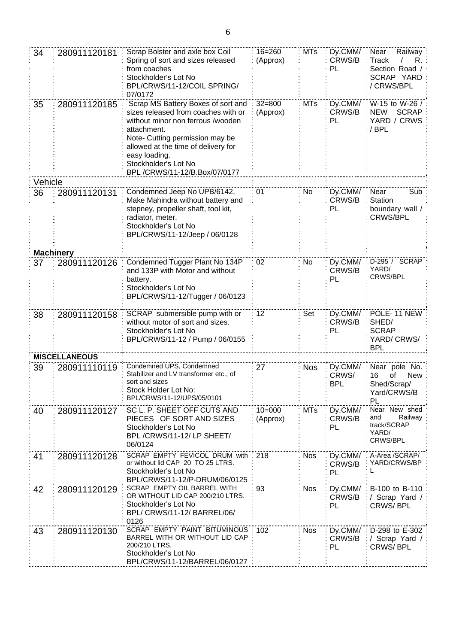| 34               | 280911120181         | Scrap Bolster and axle box Coil<br>Spring of sort and sizes released<br>from coaches<br>Stockholder's Lot No<br>BPL/CRWS/11-12/COIL SPRING/<br>07/0172                                                                                                                            | $16 = 260$<br>(Approx) | <b>MTs</b> | Dy.CMM/<br>CRWS/B<br>PL        | Near<br>Railway:<br>Track<br>R.<br>Section Road /:<br>SCRAP YARD<br>/ CRWS/BPL |
|------------------|----------------------|-----------------------------------------------------------------------------------------------------------------------------------------------------------------------------------------------------------------------------------------------------------------------------------|------------------------|------------|--------------------------------|--------------------------------------------------------------------------------|
| 35               | 280911120185         | Scrap MS Battery Boxes of sort and<br>sizes released from coaches with or<br>without minor non ferrous /wooden<br>attachment.<br>Note- Cutting permission may be<br>allowed at the time of delivery for<br>easy loading.<br>Stockholder's Lot No<br>BPL /CRWS/11-12/B.Box/07/0177 | $32 = 800$<br>(Approx) | <b>MTs</b> | Dy.CMM/<br>CRWS/B<br>PL        | W-15 to W-26 /<br><b>SCRAP</b><br><b>NEW</b><br>YARD / CRWS<br>/BPL            |
| Vehicle          |                      |                                                                                                                                                                                                                                                                                   |                        |            |                                |                                                                                |
| 36               | 280911120131         | Condemned Jeep No UPB/6142,<br>Make Mahindra without battery and<br>stepney, propeller shaft, tool kit,<br>radiator, meter.<br>Stockholder's Lot No<br>BPL/CRWS/11-12/Jeep / 06/0128                                                                                              | 01                     | No         | Dy.CMM/<br>CRWS/B<br>PL        | Near<br>Sub<br>Station<br>boundary wall /<br><b>CRWS/BPL</b>                   |
| <b>Machinery</b> |                      |                                                                                                                                                                                                                                                                                   |                        |            |                                |                                                                                |
| 37               | 280911120126         | Condemned Tugger Plant No 134P<br>and 133P with Motor and without<br>battery.<br>Stockholder's Lot No<br>BPL/CRWS/11-12/Tugger / 06/0123                                                                                                                                          | 02                     | No         | Dy.CMM/<br>CRWS/B<br>PL        | D-295 / SCRAP<br>YARD/<br>CRWS/BPL                                             |
| 38               | 280911120158         | SCRAP submersible pump with or<br>without motor of sort and sizes.<br>Stockholder's Lot No<br>BPL/CRWS/11-12 / Pump / 06/0155                                                                                                                                                     | 12                     | Set        | Dy.CMM/<br>CRWS/B<br>PL        | POLE-11 NEW<br>SHED/<br><b>SCRAP</b><br>YARD/CRWS/<br><b>BPL</b>               |
|                  | <b>MISCELLANEOUS</b> |                                                                                                                                                                                                                                                                                   |                        |            |                                |                                                                                |
| 39               | 280911110119         | Condemned UPS, Condemned<br>Stabilizer and LV transformer etc., of<br>sort and sizes<br>Stock Holder Lot No:<br>BPL/CRWS/11-12/UPS/05/0101                                                                                                                                        | 27                     | <b>Nos</b> | Dy.CMM/<br>CRWS/<br><b>BPL</b> | Near pole No.<br>16<br>οf<br>New<br>Shed/Scrap/<br>Yard/CRWS/B<br>PL           |
| 40               | 280911120127         | SC L. P. SHEET OFF CUTS AND<br>PIECES OF SORT AND SIZES<br>Stockholder's Lot No<br>BPL/CRWS/11-12/LP SHEET/<br>06/0124                                                                                                                                                            | $10 = 000$<br>(Approx) | <b>MTs</b> | Dy.CMM/<br>CRWS/B<br>PL        | Near New shed<br>and<br>Railway<br>track/SCRAP<br>YARD/<br>CRWS/BPL            |
| 41               | 280911120128         | SCRAP EMPTY FEVICOL DRUM with<br>or without lid CAP 20 TO 25 LTRS.<br>Stockholder's Lot No<br>BPL/CRWS/11-12/P-DRUM/06/0125                                                                                                                                                       | 218                    | <b>Nos</b> | Dy.CMM/<br>CRWS/B<br>PL        | A-Area /SCRAP/<br>YARD/CRWS/BP<br>L                                            |
| 42               | 280911120129         | SCRAP EMPTY OIL BARREL WITH<br>OR WITHOUT LID CAP 200/210 LTRS.<br>Stockholder's Lot No<br>BPL/ CRWS/11-12/ BARREL/06/<br>0126                                                                                                                                                    | 93                     | Nos        | Dy.CMM/<br>CRWS/B<br>PL        | B-100 to B-110<br>/ Scrap Yard /<br><b>CRWS/BPL</b>                            |
| 43               | 280911120130         | SCRAP EMPTY PAINT BITUMINOUS<br>BARREL WITH OR WITHOUT LID CAP<br>200/210 LTRS.<br>Stockholder's Lot No<br>BPL/CRWS/11-12/BARREL/06/0127                                                                                                                                          | 102                    | <b>Nos</b> | Dy.CMM/<br>CRWS/B<br>PL        | D-298 to E-302<br>/ Scrap Yard /<br><b>CRWS/BPL</b>                            |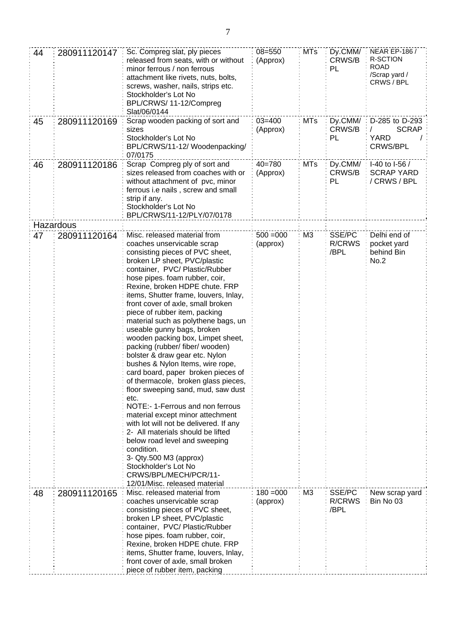| 44 | 280911120147 | Sc. Compreg slat, ply pieces<br>released from seats, with or without<br>minor ferrous / non ferrous<br>attachment like rivets, nuts, bolts,<br>screws, washer, nails, strips etc.<br>Stockholder's Lot No<br>BPL/CRWS/ 11-12/Compreg<br>Slat/06/0144                                                                                                                                                                                                                                                                                                                                                                                                                                                                                                                                                                                                                                                                                                                            | $08 = 550$<br>(Approx)  | <b>MTs</b>     | Dy.CMM/<br>CRWS/B<br>PL         | <b>NEAR EP-186 /</b><br>R-SCTION<br><b>ROAD</b><br>/Scrap yard /<br>CRWS / BPL |
|----|--------------|---------------------------------------------------------------------------------------------------------------------------------------------------------------------------------------------------------------------------------------------------------------------------------------------------------------------------------------------------------------------------------------------------------------------------------------------------------------------------------------------------------------------------------------------------------------------------------------------------------------------------------------------------------------------------------------------------------------------------------------------------------------------------------------------------------------------------------------------------------------------------------------------------------------------------------------------------------------------------------|-------------------------|----------------|---------------------------------|--------------------------------------------------------------------------------|
| 45 | 280911120169 | Scrap wooden packing of sort and<br>sizes<br>Stockholder's Lot No<br>BPL/CRWS/11-12/ Woodenpacking/<br>07/0175                                                                                                                                                                                                                                                                                                                                                                                                                                                                                                                                                                                                                                                                                                                                                                                                                                                                  | $03 = 400$<br>(Approx)  | <b>MTs</b>     | Dy.CMM/<br>CRWS/B<br>PL         | D-285 to D-293<br><b>SCRAP</b><br><b>YARD</b><br><b>CRWS/BPL</b>               |
| 46 | 280911120186 | Scrap Compreg ply of sort and<br>sizes released from coaches with or<br>without attachment of pvc, minor<br>ferrous i.e nails, screw and small<br>strip if any.<br>Stockholder's Lot No<br>BPL/CRWS/11-12/PLY/07/0178                                                                                                                                                                                                                                                                                                                                                                                                                                                                                                                                                                                                                                                                                                                                                           | $40 = 780$<br>(Approx)  | <b>MTs</b>     | Dy.CMM/<br>CRWS/B<br>PL         | I-40 to I-56 /<br><b>SCRAP YARD</b><br>/ CRWS / BPL                            |
|    | Hazardous    |                                                                                                                                                                                                                                                                                                                                                                                                                                                                                                                                                                                                                                                                                                                                                                                                                                                                                                                                                                                 |                         |                |                                 |                                                                                |
| 47 | 280911120164 | Misc. released material from<br>coaches unservicable scrap<br>consisting pieces of PVC sheet,<br>broken LP sheet, PVC/plastic<br>container, PVC/Plastic/Rubber<br>hose pipes. foam rubber, coir,<br>Rexine, broken HDPE chute. FRP<br>items, Shutter frame, louvers, Inlay,<br>front cover of axle, small broken<br>piece of rubber item, packing<br>material such as polythene bags, un<br>useable gunny bags, broken<br>wooden packing box, Limpet sheet,<br>packing (rubber/ fiber/ wooden)<br>bolster & draw gear etc. Nylon<br>bushes & Nylon Items, wire rope,<br>card board, paper broken pieces of<br>of thermacole, broken glass pieces,<br>floor sweeping sand, mud, saw dust<br>etc.<br>NOTE:-1-Ferrous and non ferrous<br>material except minor attechment<br>with lot will not be delivered. If any<br>2- All materials should be lifted<br>below road level and sweeping<br>condition.<br>3- Qty.500 M3 (approx)<br>Stockholder's Lot No<br>CRWS/BPL/MECH/PCR/11- | $500 = 000$<br>(approx) | M <sub>3</sub> | SSE/PC<br>R/CRWS<br>/BPL        | Delhi end of<br>pocket yard<br>behind Bin<br>No.2                              |
| 48 | 280911120165 | 12/01/Misc. released material<br>Misc. released material from<br>coaches unservicable scrap<br>consisting pieces of PVC sheet,<br>broken LP sheet, PVC/plastic<br>container, PVC/Plastic/Rubber<br>hose pipes. foam rubber, coir,<br>Rexine, broken HDPE chute. FRP<br>items, Shutter frame, louvers, Inlay,<br>front cover of axle, small broken<br>piece of rubber item, packing                                                                                                                                                                                                                                                                                                                                                                                                                                                                                                                                                                                              | $180 = 000$<br>(approx) | M <sub>3</sub> | SSE/PC<br><b>R/CRWS</b><br>/BPL | New scrap yard<br>Bin No 03                                                    |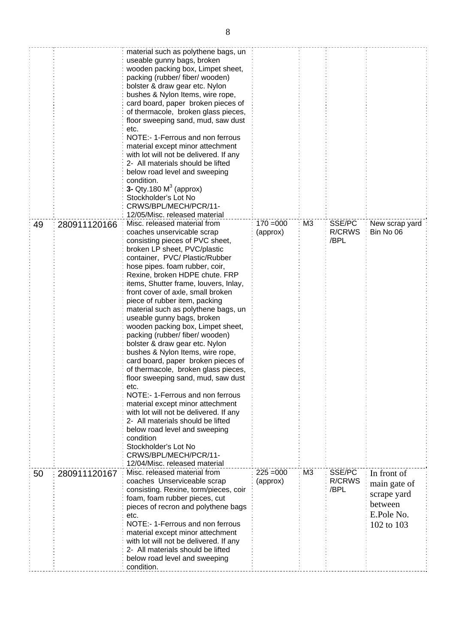|    |              | material such as polythene bags, un<br>useable gunny bags, broken<br>wooden packing box, Limpet sheet,<br>packing (rubber/ fiber/ wooden)<br>bolster & draw gear etc. Nylon<br>bushes & Nylon Items, wire rope,<br>card board, paper broken pieces of<br>of thermacole, broken glass pieces,<br>floor sweeping sand, mud, saw dust<br>etc.<br>NOTE:-1-Ferrous and non ferrous<br>material except minor attechment<br>with lot will not be delivered. If any<br>2- All materials should be lifted<br>below road level and sweeping<br>condition.<br>3- Qty.180 $M3$ (approx)<br>Stockholder's Lot No<br>CRWS/BPL/MECH/PCR/11-<br>12/05/Misc. released material                                                                                                                                                                                                                                                                                                                          |                         |                |                                 |                                                                                   |
|----|--------------|----------------------------------------------------------------------------------------------------------------------------------------------------------------------------------------------------------------------------------------------------------------------------------------------------------------------------------------------------------------------------------------------------------------------------------------------------------------------------------------------------------------------------------------------------------------------------------------------------------------------------------------------------------------------------------------------------------------------------------------------------------------------------------------------------------------------------------------------------------------------------------------------------------------------------------------------------------------------------------------|-------------------------|----------------|---------------------------------|-----------------------------------------------------------------------------------|
| 49 | 280911120166 | Misc. released material from<br>coaches unservicable scrap<br>consisting pieces of PVC sheet,<br>broken LP sheet, PVC/plastic<br>container, PVC/Plastic/Rubber<br>hose pipes. foam rubber, coir,<br>Rexine, broken HDPE chute. FRP<br>items, Shutter frame, louvers, Inlay,<br>front cover of axle, small broken<br>piece of rubber item, packing<br>material such as polythene bags, un<br>useable gunny bags, broken<br>wooden packing box, Limpet sheet,<br>packing (rubber/ fiber/ wooden)<br>bolster & draw gear etc. Nylon<br>bushes & Nylon Items, wire rope,<br>card board, paper broken pieces of<br>of thermacole, broken glass pieces,<br>floor sweeping sand, mud, saw dust<br>etc.<br>NOTE:- 1-Ferrous and non ferrous<br>material except minor attechment<br>with lot will not be delivered. If any<br>2- All materials should be lifted<br>below road level and sweeping<br>condition<br>Stockholder's Lot No<br>CRWS/BPL/MECH/PCR/11-<br>12/04/Misc. released material | $170 = 000$<br>(approx) | M <sub>3</sub> | SSE/PC<br><b>R/CRWS</b><br>/BPL | New scrap yard<br>Bin No 06                                                       |
| 50 | 280911120167 | Misc. released material from<br>coaches Unserviceable scrap<br>consisting. Rexine, torm/pieces, coir<br>foam, foam rubber pieces, cut<br>pieces of recron and polythene bags<br>etc.<br>NOTE:- 1-Ferrous and non ferrous<br>material except minor attechment<br>with lot will not be delivered. If any<br>2- All materials should be lifted<br>below road level and sweeping<br>condition.                                                                                                                                                                                                                                                                                                                                                                                                                                                                                                                                                                                             | $225 = 000$<br>(approx) | M <sub>3</sub> | SSE/PC<br>R/CRWS<br>/BPL        | In front of<br>main gate of<br>scrape yard<br>between<br>E.Pole No.<br>102 to 103 |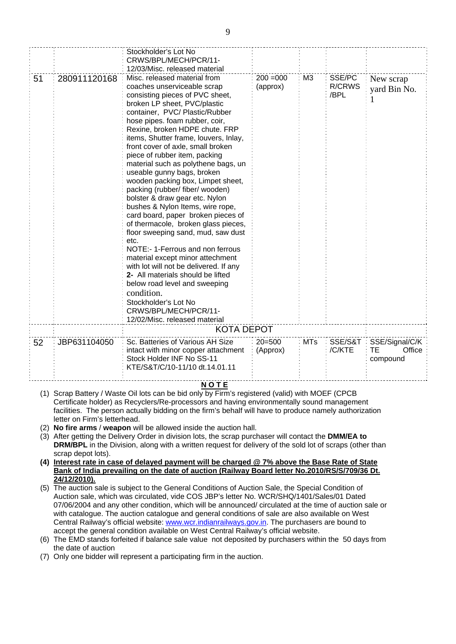|    |              | Stockholder's Lot No                  |                                        |                |               |                |
|----|--------------|---------------------------------------|----------------------------------------|----------------|---------------|----------------|
|    |              | CRWS/BPL/MECH/PCR/11-                 |                                        |                |               |                |
|    |              | 12/03/Misc. released material         |                                        |                |               |                |
| 51 | 280911120168 | Misc. released material from          | $200 = 000$                            | M <sub>3</sub> | SSE/PC        | New scrap      |
|    |              | coaches unserviceable scrap           | (approx)                               |                | <b>R/CRWS</b> | yard Bin No.   |
|    |              | consisting pieces of PVC sheet,       |                                        |                | /BPL          |                |
|    |              | broken LP sheet, PVC/plastic          |                                        |                |               |                |
|    |              | container, PVC/Plastic/Rubber         |                                        |                |               |                |
|    |              | hose pipes. foam rubber, coir,        |                                        |                |               |                |
|    |              | Rexine, broken HDPE chute. FRP        |                                        |                |               |                |
|    |              | items, Shutter frame, louvers, Inlay, |                                        |                |               |                |
|    |              | front cover of axle, small broken     |                                        |                |               |                |
|    |              | piece of rubber item, packing         |                                        |                |               |                |
|    |              | material such as polythene bags, un   |                                        |                |               |                |
|    |              | useable gunny bags, broken            |                                        |                |               |                |
|    |              | wooden packing box, Limpet sheet,     |                                        |                |               |                |
|    |              | packing (rubber/ fiber/ wooden)       |                                        |                |               |                |
|    |              | bolster & draw gear etc. Nylon        |                                        |                |               |                |
|    |              | bushes & Nylon Items, wire rope,      |                                        |                |               |                |
|    |              | card board, paper broken pieces of    |                                        |                |               |                |
|    |              | of thermacole, broken glass pieces,   |                                        |                |               |                |
|    |              | floor sweeping sand, mud, saw dust    |                                        |                |               |                |
|    |              | etc.                                  |                                        |                |               |                |
|    |              | NOTE:-1-Ferrous and non ferrous       |                                        |                |               |                |
|    |              | material except minor attechment      |                                        |                |               |                |
|    |              | 2- All materials should be lifted     | with lot will not be delivered. If any |                |               |                |
|    |              | below road level and sweeping         |                                        |                |               |                |
|    |              |                                       |                                        |                |               |                |
|    |              | condition.                            |                                        |                |               |                |
|    |              | Stockholder's Lot No                  |                                        |                |               |                |
|    |              | CRWS/BPL/MECH/PCR/11-                 |                                        |                |               |                |
|    |              | 12/02/Misc. released material         |                                        |                |               |                |
|    |              | <b>KOTA DEPOT</b>                     |                                        |                |               |                |
| 52 | JBP631104050 | Sc. Batteries of Various AH Size      | $20 = 500$                             | <b>MTs</b>     | SSE/S&T       | SSE/Signal/C/K |
|    |              | intact with minor copper attachment   | (Approx)                               |                | /C/KTE        | Office<br>TЕ   |
|    |              | Stock Holder INF No SS-11             |                                        |                |               | compound       |
|    |              | KTE/S&T/C/10-11/10 dt.14.01.11        |                                        |                |               |                |
|    |              |                                       |                                        |                |               |                |

## **N O T E**

- (1) Scrap Battery / Waste Oil lots can be bid only by Firm's registered (valid) with MOEF (CPCB Certificate holder) as Recyclers/Re-processors and having environmentally sound management facilities. The person actually bidding on the firm's behalf will have to produce namely authorization letter on Firm's letterhead.
- (2) **No fire arms** / **weapon** will be allowed inside the auction hall.
- (3) After getting the Delivery Order in division lots, the scrap purchaser will contact the **DMM/EA to DRM/BPL** in the Division, along with a written request for delivery of the sold lot of scraps (other than scrap depot lots).
- **(4) Interest rate in case of delayed payment will be charged @ 7% above the Base Rate of State Bank of India prevailing on the date of auction (Railway Board letter No.2010/RS/S/709/36 Dt. 24/12/2010).**
- (5) The auction sale is subject to the General Conditions of Auction Sale, the Special Condition of Auction sale, which was circulated, vide COS JBP's letter No. WCR/SHQ/1401/Sales/01 Dated 07/06/2004 and any other condition, which will be announced/ circulated at the time of auction sale or with catalogue. The auction catalogue and general conditions of sale are also available on West Central Railway's official website: [www.wcr.indianrailways.gov.in.](http://www.wcr.indianrailways.gov.in/) The purchasers are bound to accept the general condition available on West Central Railway's official website.
- (6) The EMD stands forfeited if balance sale value not deposited by purchasers within the 50 days from the date of auction
- (7) Only one bidder will represent a participating firm in the auction.

9